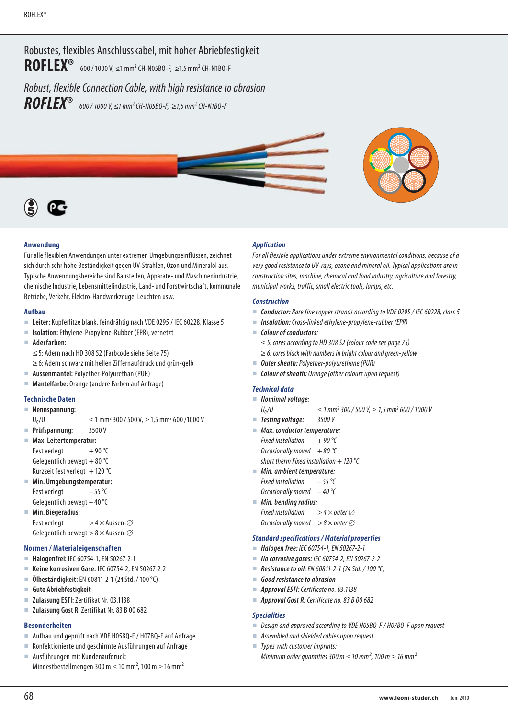Robustes, flexibles Anschlusskabel, mit hoher Abriebfestigkeit **ROFLEX<sup>®</sup>** 600 / 1000 V, ≤1 mm<sup>2</sup> CH-N05BQ-F, ≥1,5 mm<sup>2</sup> CH-N1BQ-F Robust, flexible Connection Cable, with high resistance to abrasion

*ROFLEX***®** 600 / 1000 V, <sup>≤</sup>1 mm2 CH-N05BQ-F, ≥1,5 mm2 CH-N1BQ-F



## **Anwendung**

Für alle flexiblen Anwendungen unter extremen Umgebungseinflüssen, zeichnet sich durch sehr hohe Beständigkeit gegen UV-Strahlen, Ozon und Mineralöl aus. Typische Anwendungsbereiche sind Baustellen, Apparate- und Maschinenindustrie, chemische Industrie, Lebensmittelindustrie, Land- und Forstwirtschaft, kommunale Betriebe, Verkehr, Elektro-Handwerkzeuge, Leuchten usw.

#### **Aufbau**

- **Leiter:** Kupferlitze blank, feindrähtig nach VDE 0295 / IEC 60228, Klasse 5
- **Isolation:** Ethylene-Propylene-Rubber (EPR), vernetzt
- **Aderfarben:**  ≤ 5: Adern nach HD 308 S2 (Farbcode siehe Seite 75)
	- ≥ 6: Adern schwarz mit hellen Ziffernaufdruck und grün-gelb
- **Aussenmantel:** Polyether-Polyurethan (PUR)
- **Mantelfarbe:** Orange (andere Farben auf Anfrage)

#### **Technische Daten**

**Nennspannung:**

 $U_0/U$   $\leq 1$  mm<sup>2</sup> 300 / 500 V,  $\geq 1.5$  mm<sup>2</sup> 600 /1000 V

- **Prüfspannung:** 3500 V
- **Max. Leitertemperatur:** Fest verlegt  $+90^{\circ}$ C Gelegentlich bewegt + 80 $\degree$ C
- Kurzzeit fest verlegt  $+120^{\circ}$ C
- **Min. Umgebungstemperatur:** Fest verlegt  $-55^{\circ}$ C
- Gelegentlich bewegt 40 °C **Min. Biegeradius:**
- Fest verlegt  $> 4 \times$  Aussen- $\varnothing$ Gelegentlich bewegt  $> 8 \times$  Aussen- $\varnothing$

## **Normen / Materialeigenschaften**

- **Halogenfrei:** IEC 60754-1, EN 50267-2-1
- **Keine korrosiven Gase:** IEC 60754-2, EN 50267-2-2
- **Ölbeständigkeit:** EN 60811-2-1 (24 Std. / 100 °C)
- **Gute Abriebfestigkeit**
- **Zulassung ESTI:** Zertifikat Nr. 03.1138
- **Zulassung Gost R:** Zertifikat Nr. 83 B 00 682

# **Besonderheiten**

- Aufbau und geprüft nach VDE H05BQ-F / H07BQ-F auf Anfrage
- Konfektionierte und geschirmte Ausführungen auf Anfrage
- Ausführungen mit Kundenaufdruck: Mindestbestellmengen 300 m  $\leq$  10 mm<sup>2</sup>, 100 m  $\geq$  16 mm<sup>2</sup>

#### *Application*

For all flexible applications under extreme environmental conditions, because of a very good resistance to UV-rays, ozone and mineral oil. Typical applications are in construction sites, machine, chemical and food industry, agriculture and forestry, municipal works, traffic, small electric tools, lamps, etc.

#### *Construction*

- *Conductor:* Bare fine copper strands according to VDE 0295 / IEC 60228, class 5
- *Insulation:* Cross-linked ethylene-propylene-rubber (EPR)
- *Colour of conductors*:
	- ≤ 5: cores according to HD 308 S2 (colour code see page 75)
	- $\geq$  6: cores black with numbers in bright colour and green-yellow
- *Outer sheath:* Polyether-polyurethane (PUR)
- *Colour of sheath:* Orange (other colours upon request)

## *Technical data*

- *Nomimal voltage:* 
	- $U_0/U$   $\leq 1$  mm<sup>2</sup> 300 / 500 V,  $\geq 1.5$  mm<sup>2</sup> 600 / 1000 V
- *Testing voltage:* 3500 V
- *Max. conductor temperature:*  Fixed installation  $+ 90 °C$ Occasionally moved  $+80$  °C short therm Fixed installation  $+ 120$  °C
- *Min. ambient temperature:*
- Fixed installation  $-55$  °C Occasionally moved  $-40$  °C
- *Min. bending radius:*  Fixed installation  $> 4 \times$  outer  $\varnothing$

Occasionally moved  $> 8 \times$  outer  $\varnothing$ 

## *Standard specifications / Material properties*

- *Halogen free:* IEC 60754-1, EN 50267-2-1
- *No corrosive gases:* IEC 60754-2, EN 50267-2-2
- *Resistance to oil:* EN 60811-2-1 (24 Std. / 100 °C)
- *Good resistance to abrasion*
- *Approval ESTI:* Certificate no. 03.1138
- *Approval Gost R:* Certificate no. 83 B 00 682

#### *Specialities*

- Desian and approved accordina to VDE H05BO-F / H07BO-F upon request
- Assembled and shielded cables upon request
- Types with customer imprints: Minimum order quantities 300 m  $\leq$  10 mm<sup>2</sup>, 100 m  $\geq$  16 mm<sup>2</sup>